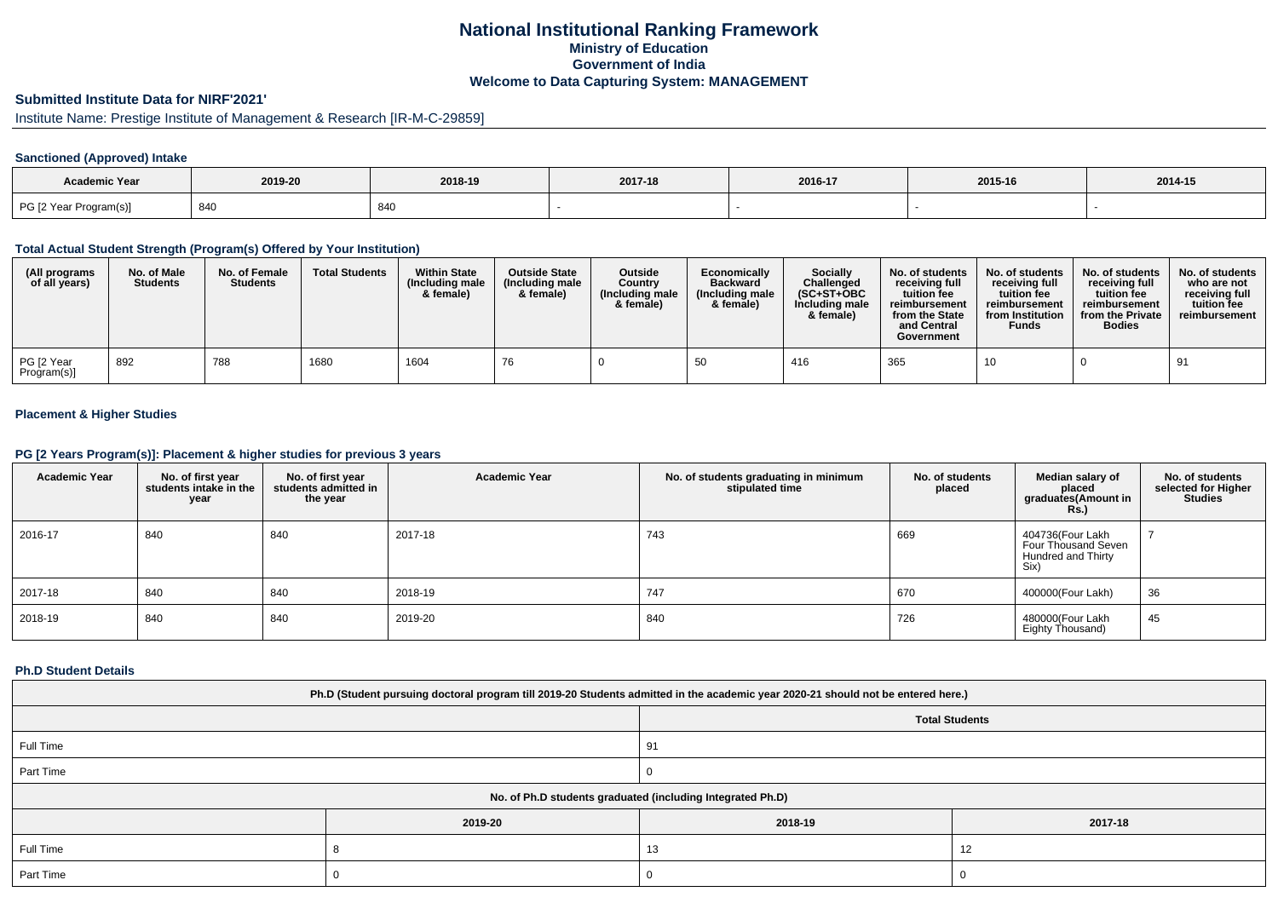# **National Institutional Ranking FrameworkMinistry of Education Government of IndiaWelcome to Data Capturing System: MANAGEMENT**

# **Submitted Institute Data for NIRF'2021'**

# Institute Name: Prestige Institute of Management & Research [IR-M-C-29859]

## **Sanctioned (Approved) Intake**

| <b>Academic Year</b>   |         |         |         |         |         |         |
|------------------------|---------|---------|---------|---------|---------|---------|
|                        | 2019-20 | 2018-19 | 2017-18 | 2016-17 | 2015-16 | 2014-15 |
| PG [2 Year Program(s)] | 840     | 840     |         |         |         |         |

#### **Total Actual Student Strength (Program(s) Offered by Your Institution)**

| (All programs<br>of all years) | No. of Male<br><b>Students</b> | No. of Female<br><b>Students</b> | <b>Total Students</b> | <b>Within State</b><br>(Including male<br>& female) | <b>Outside State</b><br>(Including male<br>& female) | Outside<br>Country<br>(Including male)<br>& female) | Economically<br><b>Backward</b><br>(Including male<br>& female) | <b>Socially</b><br>Challenged<br>$(SC+ST+OBC$<br>Including male<br>& female) | No. of students<br>receivina full<br>tuition fee<br>reimbursement<br>from the State<br>and Central<br>Government | No. of students<br>receiving full<br>tuition fee<br>reimbursement<br>from Institution<br><b>Funds</b> | No. of students<br>receiving full<br>tuition fee<br>reimbursement<br>from the Private<br><b>Bodies</b> | No. of students<br>who are not<br>receivina full<br>tuition fee<br>reimbursement |
|--------------------------------|--------------------------------|----------------------------------|-----------------------|-----------------------------------------------------|------------------------------------------------------|-----------------------------------------------------|-----------------------------------------------------------------|------------------------------------------------------------------------------|------------------------------------------------------------------------------------------------------------------|-------------------------------------------------------------------------------------------------------|--------------------------------------------------------------------------------------------------------|----------------------------------------------------------------------------------|
| PG [2 Year<br>Program(s)]      | 892                            | 788                              | 1680                  | 1604                                                | 76                                                   |                                                     |                                                                 | 416                                                                          | 365                                                                                                              | 10                                                                                                    |                                                                                                        | 91                                                                               |

## **Placement & Higher Studies**

### **PG [2 Years Program(s)]: Placement & higher studies for previous 3 years**

| <b>Academic Year</b> | No. of first year<br>students intake in the<br>year | No. of first vear<br>students admitted in<br>the year | <b>Academic Year</b> | No. of students graduating in minimum<br>stipulated time | No. of students<br>placed | Median salary of<br>placed<br>graduates(Amount in<br><b>Rs.)</b>      | No. of students<br>selected for Higher<br><b>Studies</b> |
|----------------------|-----------------------------------------------------|-------------------------------------------------------|----------------------|----------------------------------------------------------|---------------------------|-----------------------------------------------------------------------|----------------------------------------------------------|
| 2016-17              | 840                                                 | 840                                                   | 2017-18              | 743                                                      | 669                       | 404736(Four Lakh<br>Four Thousand Seven<br>Hundred and Thirty<br>Six) |                                                          |
| 2017-18              | 840                                                 | 840                                                   | 2018-19              | 747                                                      | 670                       | 400000(Four Lakh)                                                     | 36                                                       |
| 2018-19              | 840                                                 | 840                                                   | 2019-20              | 840                                                      | 726                       | 480000(Four Lakh<br>Eighty Thousand)                                  | 45                                                       |

#### **Ph.D Student Details**

| Ph.D (Student pursuing doctoral program till 2019-20 Students admitted in the academic year 2020-21 should not be entered here.) |         |                                                            |         |  |  |  |  |
|----------------------------------------------------------------------------------------------------------------------------------|---------|------------------------------------------------------------|---------|--|--|--|--|
| <b>Total Students</b>                                                                                                            |         |                                                            |         |  |  |  |  |
| Full Time                                                                                                                        |         | 91                                                         |         |  |  |  |  |
| Part Time                                                                                                                        |         |                                                            |         |  |  |  |  |
|                                                                                                                                  |         | No. of Ph.D students graduated (including Integrated Ph.D) |         |  |  |  |  |
|                                                                                                                                  | 2019-20 | 2018-19                                                    | 2017-18 |  |  |  |  |
| Full Time                                                                                                                        |         | 13                                                         | 12      |  |  |  |  |
| Part Time                                                                                                                        |         |                                                            |         |  |  |  |  |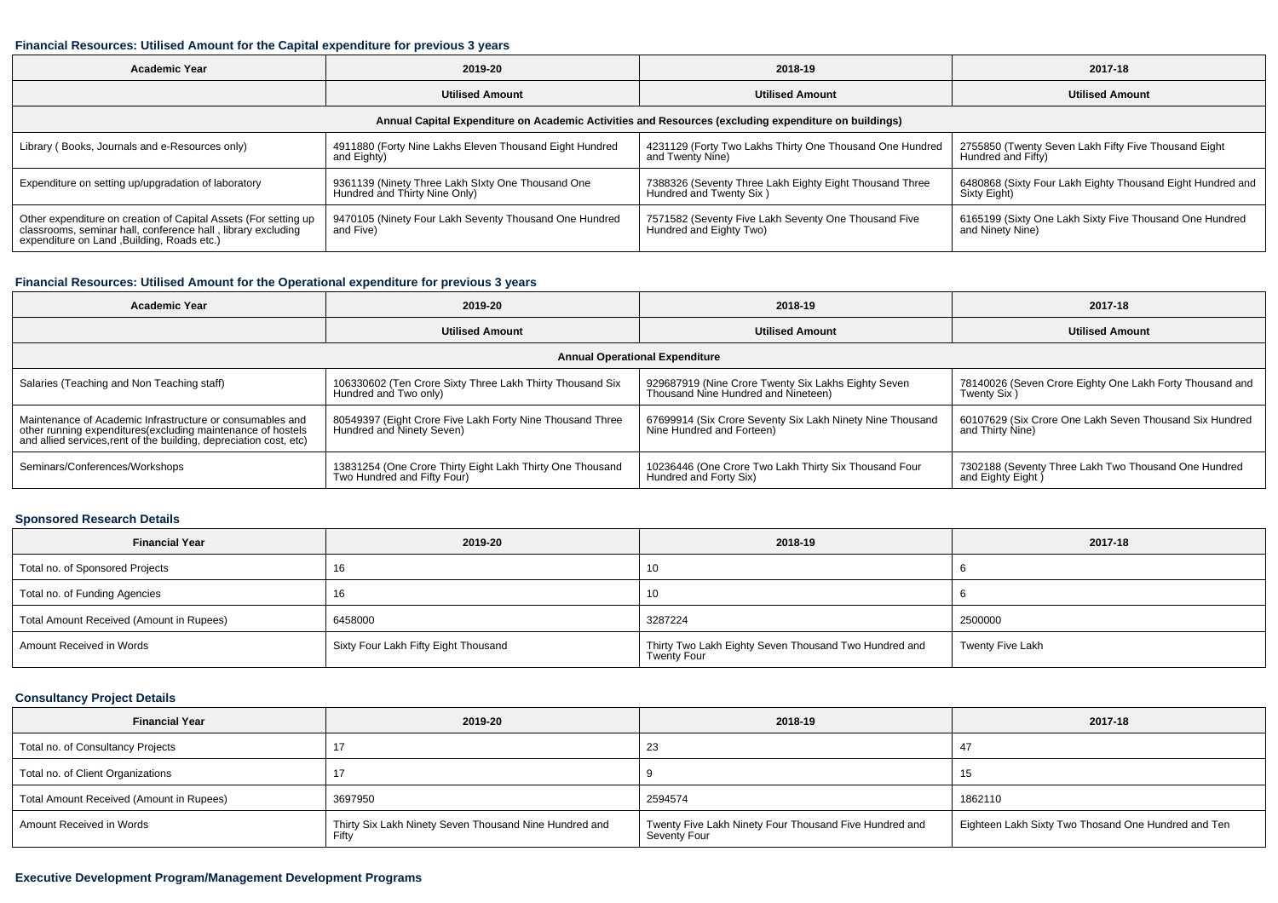### **Financial Resources: Utilised Amount for the Capital expenditure for previous 3 years**

| <b>Academic Year</b>                                                                                                                                                           | 2019-20                                                                            | 2018-19                                                                            | 2017-18                                                                     |  |  |  |  |  |  |
|--------------------------------------------------------------------------------------------------------------------------------------------------------------------------------|------------------------------------------------------------------------------------|------------------------------------------------------------------------------------|-----------------------------------------------------------------------------|--|--|--|--|--|--|
|                                                                                                                                                                                | <b>Utilised Amount</b>                                                             | <b>Utilised Amount</b>                                                             | <b>Utilised Amount</b>                                                      |  |  |  |  |  |  |
| Annual Capital Expenditure on Academic Activities and Resources (excluding expenditure on buildings)                                                                           |                                                                                    |                                                                                    |                                                                             |  |  |  |  |  |  |
| Library (Books, Journals and e-Resources only)                                                                                                                                 | 4911880 (Forty Nine Lakhs Eleven Thousand Eight Hundred<br>and Eighty)             | 4231129 (Forty Two Lakhs Thirty One Thousand One Hundred<br>and Twenty Nine)       | 2755850 (Twenty Seven Lakh Fifty Five Thousand Eight)<br>Hundred and Fifty) |  |  |  |  |  |  |
| Expenditure on setting up/upgradation of laboratory                                                                                                                            | 9361139 (Ninety Three Lakh SIxty One Thousand One<br>Hundred and Thirty Nine Only) | 7388326 (Seventy Three Lakh Eighty Eight Thousand Three<br>Hundred and Twenty Six) | 6480868 (Sixty Four Lakh Eighty Thousand Eight Hundred and<br>Sixty Eight)  |  |  |  |  |  |  |
| Other expenditure on creation of Capital Assets (For setting up<br>classrooms, seminar hall, conference hall, library excluding<br>expenditure on Land , Building, Roads etc.) | 9470105 (Ninety Four Lakh Seventy Thousand One Hundred<br>and Five)                | 7571582 (Seventy Five Lakh Seventy One Thousand Five<br>Hundred and Eighty Two)    | 6165199 (Sixty One Lakh Sixty Five Thousand One Hundred<br>and Ninety Nine) |  |  |  |  |  |  |

## **Financial Resources: Utilised Amount for the Operational expenditure for previous 3 years**

| <b>Academic Year</b>                                                                                                              | 2019-20                                                                                  | 2018-19                                                   | 2017-18                                                  |  |  |  |  |  |  |
|-----------------------------------------------------------------------------------------------------------------------------------|------------------------------------------------------------------------------------------|-----------------------------------------------------------|----------------------------------------------------------|--|--|--|--|--|--|
|                                                                                                                                   | <b>Utilised Amount</b>                                                                   | <b>Utilised Amount</b>                                    | <b>Utilised Amount</b>                                   |  |  |  |  |  |  |
|                                                                                                                                   | <b>Annual Operational Expenditure</b>                                                    |                                                           |                                                          |  |  |  |  |  |  |
| Salaries (Teaching and Non Teaching staff)                                                                                        | 106330602 (Ten Crore Sixty Three Lakh Thirty Thousand Six                                | 929687919 (Nine Crore Twenty Six Lakhs Eighty Seven       | 78140026 (Seven Crore Eighty One Lakh Forty Thousand and |  |  |  |  |  |  |
|                                                                                                                                   | Hundred and Two only)                                                                    | Thousand Nine Hundred and Nineteen)                       | Twenty Six)                                              |  |  |  |  |  |  |
| Maintenance of Academic Infrastructure or consumables and                                                                         | 80549397 (Eight Crore Five Lakh Forty Nine Thousand Three<br>  Hundred and Ninety Seven) | 67699914 (Six Crore Seventy Six Lakh Ninety Nine Thousand | 60107629 (Six Crore One Lakh Seven Thousand Six Hundred  |  |  |  |  |  |  |
| other running expenditures(excluding maintenance of hostels<br>and allied services, rent of the building, depreciation cost, etc) |                                                                                          | Nine Hundred and Forteen)                                 | and Thirty Nine)                                         |  |  |  |  |  |  |
| Seminars/Conferences/Workshops                                                                                                    | 13831254 (One Crore Thirty Eight Lakh Thirty One Thousand                                | 10236446 (One Crore Two Lakh Thirty Six Thousand Four     | 7302188 (Seventy Three Lakh Two Thousand One Hundred     |  |  |  |  |  |  |
|                                                                                                                                   | Two Hundred and Fifty Four)                                                              | Hundred and Forty Six)                                    | and Eighty Eight                                         |  |  |  |  |  |  |

# **Sponsored Research Details**

| <b>Financial Year</b>                    | 2019-20                              | 2018-19                                                              | 2017-18          |
|------------------------------------------|--------------------------------------|----------------------------------------------------------------------|------------------|
| Total no. of Sponsored Projects          | 16                                   | 10                                                                   |                  |
| Total no. of Funding Agencies            | 16                                   | 10                                                                   |                  |
| Total Amount Received (Amount in Rupees) | 6458000                              | 3287224                                                              | 2500000          |
| Amount Received in Words                 | Sixty Four Lakh Fifty Eight Thousand | Thirty Two Lakh Eighty Seven Thousand Two Hundred and<br>Twenty Four | Twenty Five Lakh |

## **Consultancy Project Details**

| <b>Financial Year</b>                    | 2019-20                                                         | 2018-19                                                                | 2017-18                                             |
|------------------------------------------|-----------------------------------------------------------------|------------------------------------------------------------------------|-----------------------------------------------------|
| Total no. of Consultancy Projects        |                                                                 | 23                                                                     |                                                     |
| Total no. of Client Organizations        |                                                                 |                                                                        | 15                                                  |
| Total Amount Received (Amount in Rupees) | 3697950                                                         | 2594574                                                                | 1862110                                             |
| Amount Received in Words                 | Thirty Six Lakh Ninety Seven Thousand Nine Hundred and<br>Fifty | Twenty Five Lakh Ninety Four Thousand Five Hundred and<br>Seventy Four | Eighteen Lakh Sixty Two Thosand One Hundred and Ten |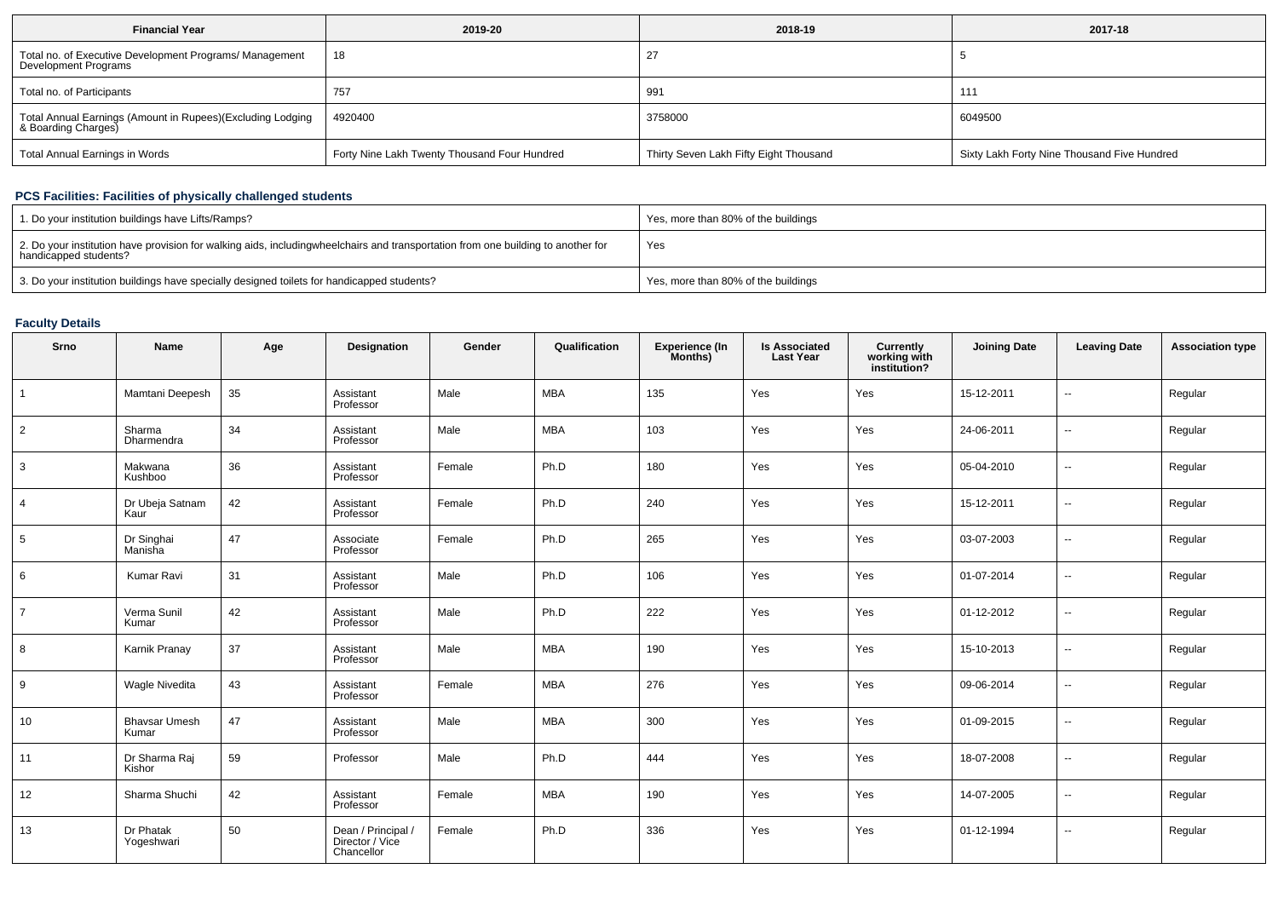| <b>Financial Year</b>                                                             | 2019-20                                      | 2018-19                                | 2017-18                                     |
|-----------------------------------------------------------------------------------|----------------------------------------------|----------------------------------------|---------------------------------------------|
| Total no. of Executive Development Programs/ Management<br>Development Programs   | 18                                           |                                        |                                             |
| Total no. of Participants                                                         | 757                                          | 991                                    | 111                                         |
| Total Annual Earnings (Amount in Rupees)(Excluding Lodging<br>& Boarding Charges) | 4920400                                      | 3758000                                | 6049500                                     |
| Total Annual Earnings in Words                                                    | Forty Nine Lakh Twenty Thousand Four Hundred | Thirty Seven Lakh Fifty Eight Thousand | Sixty Lakh Forty Nine Thousand Five Hundred |

## **PCS Facilities: Facilities of physically challenged students**

| 1. Do your institution buildings have Lifts/Ramps?                                                                                                        | Yes, more than 80% of the buildings |
|-----------------------------------------------------------------------------------------------------------------------------------------------------------|-------------------------------------|
| 2. Do your institution have provision for walking aids, includingwheelchairs and transportation from one building to another for<br>handicapped students? | Yes                                 |
| 3. Do your institution buildings have specially designed toilets for handicapped students?                                                                | Yes, more than 80% of the buildings |

## **Faculty Details**

| Srno            | <b>Name</b>                   | Age | Designation                                         | Gender | Qualification | Experience (In<br>Months) | <b>Is Associated</b><br><b>Last Year</b> | <b>Currently<br/>working with<br/>institution?</b> | <b>Joining Date</b> | <b>Leaving Date</b>      | <b>Association type</b> |
|-----------------|-------------------------------|-----|-----------------------------------------------------|--------|---------------|---------------------------|------------------------------------------|----------------------------------------------------|---------------------|--------------------------|-------------------------|
| $\overline{1}$  | Mamtani Deepesh               | 35  | Assistant<br>Professor                              | Male   | <b>MBA</b>    | 135                       | Yes                                      | Yes                                                | 15-12-2011          | $\sim$                   | Regular                 |
| $\overline{2}$  | Sharma<br>Dharmendra          | 34  | Assistant<br>Professor                              | Male   | <b>MBA</b>    | 103                       | Yes                                      | Yes                                                | 24-06-2011          | $\overline{\phantom{a}}$ | Regular                 |
| 3               | Makwana<br>Kushboo            | 36  | Assistant<br>Professor                              | Female | Ph.D          | 180                       | Yes                                      | Yes                                                | 05-04-2010          | $\overline{a}$           | Regular                 |
| $\overline{4}$  | Dr Ubeja Satnam<br>Kaur       | 42  | Assistant<br>Professor                              | Female | Ph.D          | 240                       | Yes                                      | Yes                                                | 15-12-2011          | --                       | Regular                 |
| $5\phantom{.0}$ | Dr Singhai<br>Manisha         | 47  | Associate<br>Professor                              | Female | Ph.D          | 265                       | Yes                                      | Yes                                                | 03-07-2003          | $\overline{\phantom{a}}$ | Regular                 |
| 6               | Kumar Ravi                    | 31  | Assistant<br>Professor                              | Male   | Ph.D          | 106                       | Yes                                      | Yes                                                | 01-07-2014          | $\overline{\phantom{a}}$ | Regular                 |
| $\overline{7}$  | Verma Sunil<br>Kumar          | 42  | Assistant<br>Professor                              | Male   | Ph.D          | 222                       | Yes                                      | Yes                                                | 01-12-2012          | $\overline{\phantom{a}}$ | Regular                 |
| 8               | Karnik Pranay                 | 37  | Assistant<br>Professor                              | Male   | <b>MBA</b>    | 190                       | Yes                                      | Yes                                                | 15-10-2013          | $\overline{\phantom{a}}$ | Regular                 |
| 9               | <b>Wagle Nivedita</b>         | 43  | Assistant<br>Professor                              | Female | <b>MBA</b>    | 276                       | Yes                                      | Yes                                                | 09-06-2014          | $\overline{\phantom{a}}$ | Regular                 |
| 10              | <b>Bhavsar Umesh</b><br>Kumar | 47  | Assistant<br>Professor                              | Male   | <b>MBA</b>    | 300                       | Yes                                      | Yes                                                | 01-09-2015          | $\overline{\phantom{a}}$ | Regular                 |
| 11              | Dr Sharma Raj<br>Kishor       | 59  | Professor                                           | Male   | Ph.D          | 444                       | Yes                                      | Yes                                                | 18-07-2008          | $\overline{\phantom{a}}$ | Regular                 |
| 12              | Sharma Shuchi                 | 42  | Assistant<br>Professor                              | Female | <b>MBA</b>    | 190                       | Yes                                      | Yes                                                | 14-07-2005          | --                       | Regular                 |
| 13              | Dr Phatak<br>Yogeshwari       | 50  | Dean / Principal /<br>Director / Vice<br>Chancellor | Female | Ph.D          | 336                       | Yes                                      | Yes                                                | 01-12-1994          | --                       | Regular                 |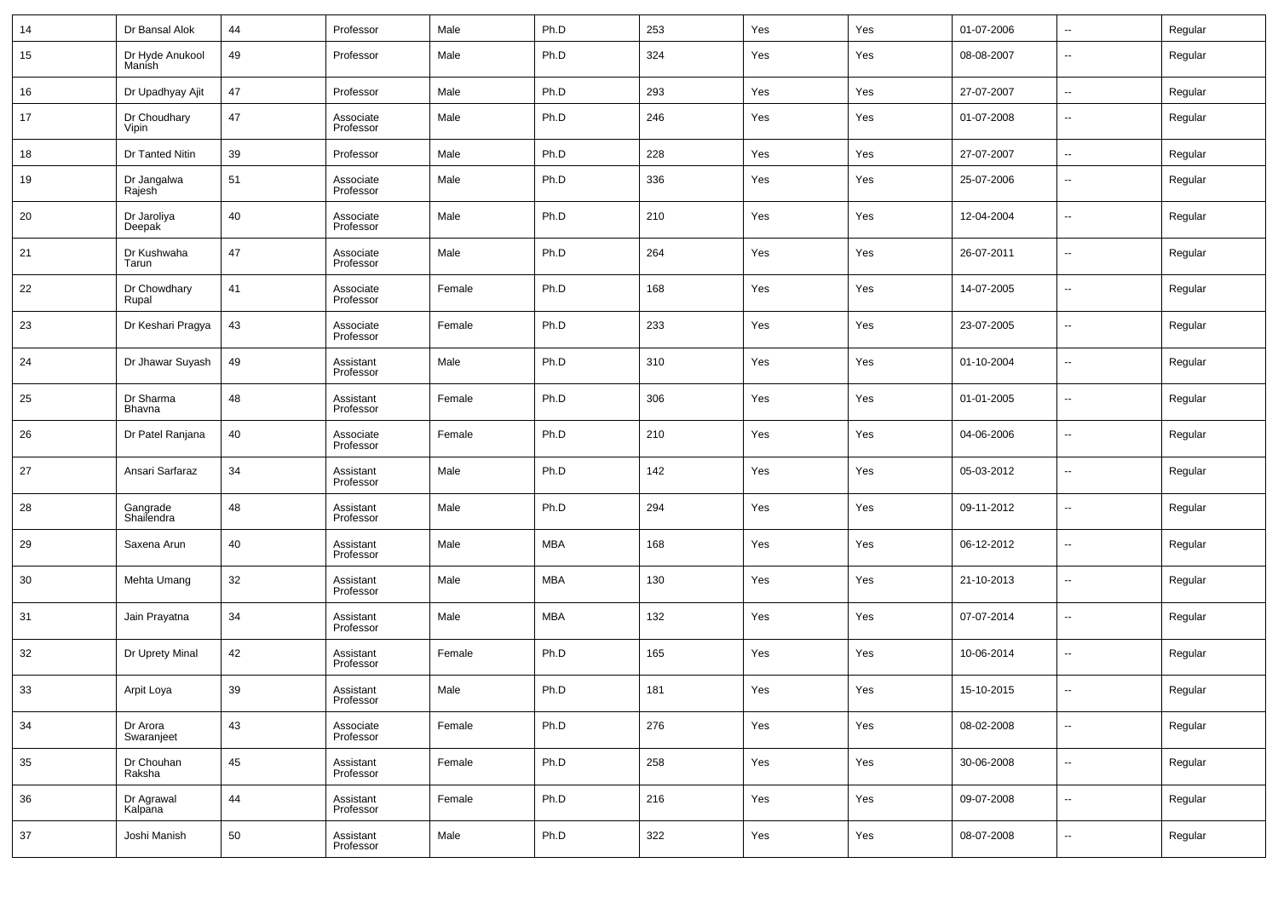| 14 | Dr Bansal Alok            | 44 | Professor              | Male   | Ph.D       | 253 | Yes | Yes | 01-07-2006 | $\overline{\phantom{a}}$ | Regular |
|----|---------------------------|----|------------------------|--------|------------|-----|-----|-----|------------|--------------------------|---------|
| 15 | Dr Hyde Anukool<br>Manish | 49 | Professor              | Male   | Ph.D       | 324 | Yes | Yes | 08-08-2007 | $\overline{\phantom{a}}$ | Regular |
| 16 | Dr Upadhyay Ajit          | 47 | Professor              | Male   | Ph.D       | 293 | Yes | Yes | 27-07-2007 | $\overline{\phantom{a}}$ | Regular |
| 17 | Dr Choudhary<br>Vipin     | 47 | Associate<br>Professor | Male   | Ph.D       | 246 | Yes | Yes | 01-07-2008 | $\overline{\phantom{a}}$ | Regular |
| 18 | Dr Tanted Nitin           | 39 | Professor              | Male   | Ph.D       | 228 | Yes | Yes | 27-07-2007 | $\overline{\phantom{a}}$ | Regular |
| 19 | Dr Jangalwa<br>Rajesh     | 51 | Associate<br>Professor | Male   | Ph.D       | 336 | Yes | Yes | 25-07-2006 | $\overline{\phantom{a}}$ | Regular |
| 20 | Dr Jaroliya<br>Deepak     | 40 | Associate<br>Professor | Male   | Ph.D       | 210 | Yes | Yes | 12-04-2004 | $\overline{\phantom{a}}$ | Regular |
| 21 | Dr Kushwaha<br>Tarun      | 47 | Associate<br>Professor | Male   | Ph.D       | 264 | Yes | Yes | 26-07-2011 | $\overline{\phantom{a}}$ | Regular |
| 22 | Dr Chowdhary<br>Rupal     | 41 | Associate<br>Professor | Female | Ph.D       | 168 | Yes | Yes | 14-07-2005 | $\overline{\phantom{a}}$ | Regular |
| 23 | Dr Keshari Pragya         | 43 | Associate<br>Professor | Female | Ph.D       | 233 | Yes | Yes | 23-07-2005 | $\overline{\phantom{a}}$ | Regular |
| 24 | Dr Jhawar Suyash          | 49 | Assistant<br>Professor | Male   | Ph.D       | 310 | Yes | Yes | 01-10-2004 | $\overline{\phantom{a}}$ | Regular |
| 25 | Dr Sharma<br>Bhavna       | 48 | Assistant<br>Professor | Female | Ph.D       | 306 | Yes | Yes | 01-01-2005 | $\overline{\phantom{a}}$ | Regular |
| 26 | Dr Patel Ranjana          | 40 | Associate<br>Professor | Female | Ph.D       | 210 | Yes | Yes | 04-06-2006 | $\overline{\phantom{a}}$ | Regular |
| 27 | Ansari Sarfaraz           | 34 | Assistant<br>Professor | Male   | Ph.D       | 142 | Yes | Yes | 05-03-2012 | $\overline{\phantom{a}}$ | Regular |
| 28 | Gangrade<br>Shailendra    | 48 | Assistant<br>Professor | Male   | Ph.D       | 294 | Yes | Yes | 09-11-2012 | $\overline{\phantom{a}}$ | Regular |
| 29 | Saxena Arun               | 40 | Assistant<br>Professor | Male   | <b>MBA</b> | 168 | Yes | Yes | 06-12-2012 | $\overline{\phantom{a}}$ | Regular |
| 30 | Mehta Umang               | 32 | Assistant<br>Professor | Male   | <b>MBA</b> | 130 | Yes | Yes | 21-10-2013 | $\overline{\phantom{a}}$ | Regular |
| 31 | Jain Prayatna             | 34 | Assistant<br>Professor | Male   | <b>MBA</b> | 132 | Yes | Yes | 07-07-2014 | $\overline{\phantom{a}}$ | Regular |
| 32 | Dr Uprety Minal           | 42 | Assistant<br>Professor | Female | Ph.D       | 165 | Yes | Yes | 10-06-2014 | $\overline{\phantom{a}}$ | Regular |
| 33 | Arpit Loya                | 39 | Assistant<br>Professor | Male   | Ph.D       | 181 | Yes | Yes | 15-10-2015 | $\overline{\phantom{a}}$ | Regular |
| 34 | Dr Arora<br>Swaranjeet    | 43 | Associate<br>Professor | Female | Ph.D       | 276 | Yes | Yes | 08-02-2008 | $\overline{\phantom{a}}$ | Regular |
| 35 | Dr Chouhan<br>Raksha      | 45 | Assistant<br>Professor | Female | Ph.D       | 258 | Yes | Yes | 30-06-2008 | $\overline{\phantom{a}}$ | Regular |
| 36 | Dr Agrawal<br>Kalpana     | 44 | Assistant<br>Professor | Female | Ph.D       | 216 | Yes | Yes | 09-07-2008 | $\overline{\phantom{a}}$ | Regular |
| 37 | Joshi Manish              | 50 | Assistant<br>Professor | Male   | Ph.D       | 322 | Yes | Yes | 08-07-2008 | ۰.                       | Regular |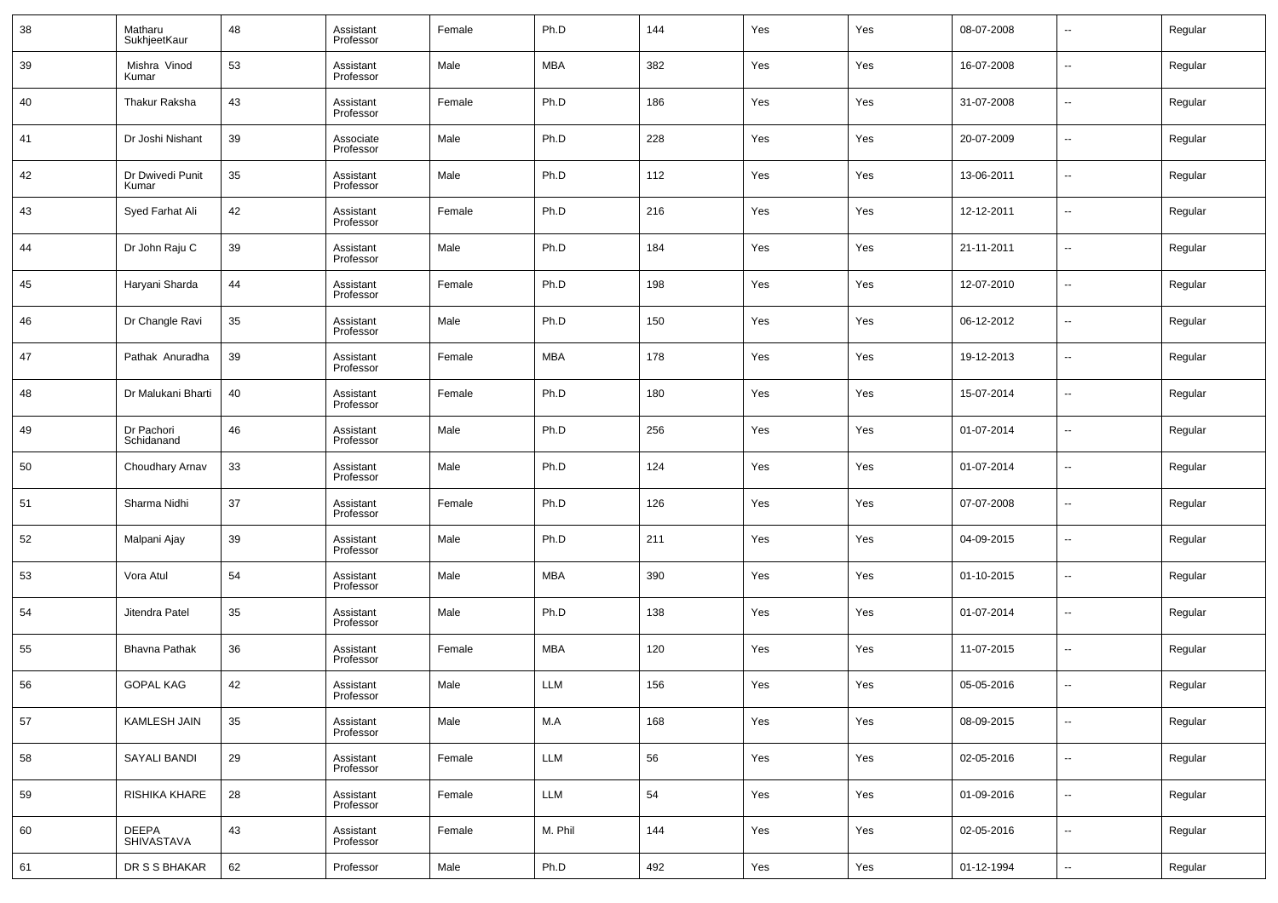| 38 | Matharu<br>SukhjeetKaur    | 48 | Assistant<br>Professor | Female | Ph.D       | 144 | Yes | Yes | 08-07-2008 | --     | Regular |
|----|----------------------------|----|------------------------|--------|------------|-----|-----|-----|------------|--------|---------|
| 39 | Mishra Vinod<br>Kumar      | 53 | Assistant<br>Professor | Male   | <b>MBA</b> | 382 | Yes | Yes | 16-07-2008 | --     | Regular |
| 40 | Thakur Raksha              | 43 | Assistant<br>Professor | Female | Ph.D       | 186 | Yes | Yes | 31-07-2008 | --     | Regular |
| 41 | Dr Joshi Nishant           | 39 | Associate<br>Professor | Male   | Ph.D       | 228 | Yes | Yes | 20-07-2009 | --     | Regular |
| 42 | Dr Dwivedi Punit<br>Kumar  | 35 | Assistant<br>Professor | Male   | Ph.D       | 112 | Yes | Yes | 13-06-2011 | --     | Regular |
| 43 | Syed Farhat Ali            | 42 | Assistant<br>Professor | Female | Ph.D       | 216 | Yes | Yes | 12-12-2011 | --     | Regular |
| 44 | Dr John Raju C             | 39 | Assistant<br>Professor | Male   | Ph.D       | 184 | Yes | Yes | 21-11-2011 | --     | Regular |
| 45 | Haryani Sharda             | 44 | Assistant<br>Professor | Female | Ph.D       | 198 | Yes | Yes | 12-07-2010 | --     | Regular |
| 46 | Dr Changle Ravi            | 35 | Assistant<br>Professor | Male   | Ph.D       | 150 | Yes | Yes | 06-12-2012 | --     | Regular |
| 47 | Pathak Anuradha            | 39 | Assistant<br>Professor | Female | MBA        | 178 | Yes | Yes | 19-12-2013 | --     | Regular |
| 48 | Dr Malukani Bharti         | 40 | Assistant<br>Professor | Female | Ph.D       | 180 | Yes | Yes | 15-07-2014 | --     | Regular |
| 49 | Dr Pachori<br>Schidanand   | 46 | Assistant<br>Professor | Male   | Ph.D       | 256 | Yes | Yes | 01-07-2014 | --     | Regular |
| 50 | Choudhary Arnav            | 33 | Assistant<br>Professor | Male   | Ph.D       | 124 | Yes | Yes | 01-07-2014 | --     | Regular |
| 51 | Sharma Nidhi               | 37 | Assistant<br>Professor | Female | Ph.D       | 126 | Yes | Yes | 07-07-2008 | --     | Regular |
| 52 | Malpani Ajay               | 39 | Assistant<br>Professor | Male   | Ph.D       | 211 | Yes | Yes | 04-09-2015 | --     | Regular |
| 53 | Vora Atul                  | 54 | Assistant<br>Professor | Male   | MBA        | 390 | Yes | Yes | 01-10-2015 | --     | Regular |
| 54 | Jitendra Patel             | 35 | Assistant<br>Professor | Male   | Ph.D       | 138 | Yes | Yes | 01-07-2014 | --     | Regular |
| 55 | <b>Bhavna Pathak</b>       | 36 | Assistant<br>Professor | Female | MBA        | 120 | Yes | Yes | 11-07-2015 | --     | Regular |
| 56 | <b>GOPAL KAG</b>           | 42 | Assistant<br>Professor | Male   | LLM        | 156 | Yes | Yes | 05-05-2016 | --     | Regular |
| 57 | KAMLESH JAIN               | 35 | Assistant<br>Professor | Male   | M.A        | 168 | Yes | Yes | 08-09-2015 | $\sim$ | Regular |
| 58 | <b>SAYALI BANDI</b>        | 29 | Assistant<br>Professor | Female | LLM        | 56  | Yes | Yes | 02-05-2016 | $\sim$ | Regular |
| 59 | RISHIKA KHARE              | 28 | Assistant<br>Professor | Female | LLM        | 54  | Yes | Yes | 01-09-2016 | $\sim$ | Regular |
| 60 | <b>DEEPA</b><br>SHIVASTAVA | 43 | Assistant<br>Professor | Female | M. Phil    | 144 | Yes | Yes | 02-05-2016 | $\sim$ | Regular |
| 61 | DR S S BHAKAR              | 62 | Professor              | Male   | Ph.D       | 492 | Yes | Yes | 01-12-1994 | ۰.     | Regular |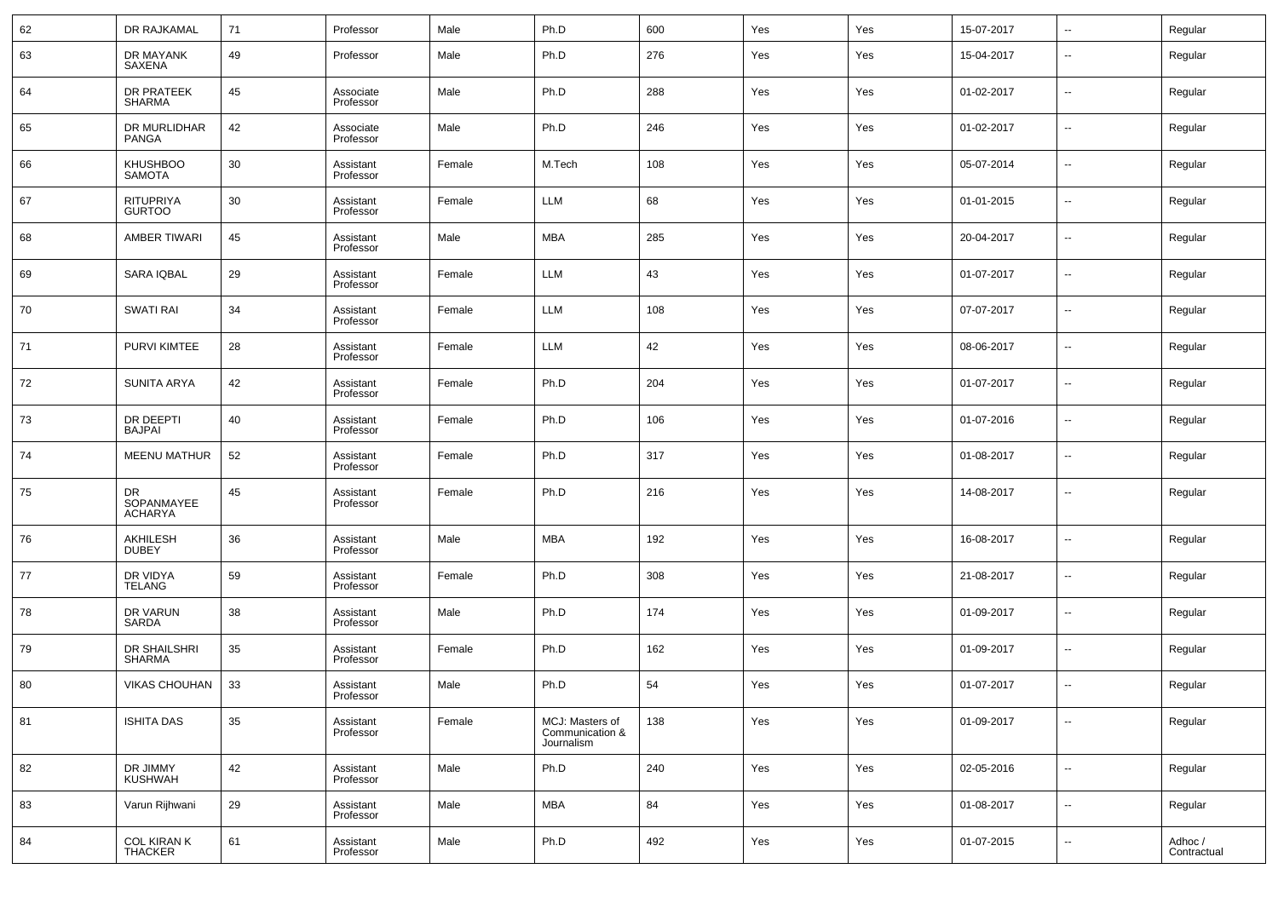| 62 | DR RAJKAMAL                               | 71 | Professor              | Male   | Ph.D                                             | 600 | Yes | Yes | 15-07-2017 | $\overline{\phantom{a}}$ | Regular                |
|----|-------------------------------------------|----|------------------------|--------|--------------------------------------------------|-----|-----|-----|------------|--------------------------|------------------------|
| 63 | DR MAYANK<br>SAXENA                       | 49 | Professor              | Male   | Ph.D                                             | 276 | Yes | Yes | 15-04-2017 | $\overline{\phantom{a}}$ | Regular                |
| 64 | DR PRATEEK<br><b>SHARMA</b>               | 45 | Associate<br>Professor | Male   | Ph.D                                             | 288 | Yes | Yes | 01-02-2017 | $\overline{\phantom{a}}$ | Regular                |
| 65 | DR MURLIDHAR<br>PANGA                     | 42 | Associate<br>Professor | Male   | Ph.D                                             | 246 | Yes | Yes | 01-02-2017 | $\overline{\phantom{a}}$ | Regular                |
| 66 | <b>KHUSHBOO</b><br><b>SAMOTA</b>          | 30 | Assistant<br>Professor | Female | M.Tech                                           | 108 | Yes | Yes | 05-07-2014 | $\overline{\phantom{a}}$ | Regular                |
| 67 | RITUPRIYA<br><b>GURTOO</b>                | 30 | Assistant<br>Professor | Female | LLM                                              | 68  | Yes | Yes | 01-01-2015 | $\overline{\phantom{a}}$ | Regular                |
| 68 | <b>AMBER TIWARI</b>                       | 45 | Assistant<br>Professor | Male   | <b>MBA</b>                                       | 285 | Yes | Yes | 20-04-2017 | $\overline{\phantom{a}}$ | Regular                |
| 69 | SARA IQBAL                                | 29 | Assistant<br>Professor | Female | LLM                                              | 43  | Yes | Yes | 01-07-2017 | $\overline{\phantom{a}}$ | Regular                |
| 70 | <b>SWATI RAI</b>                          | 34 | Assistant<br>Professor | Female | LLM                                              | 108 | Yes | Yes | 07-07-2017 | $\overline{\phantom{a}}$ | Regular                |
| 71 | <b>PURVI KIMTEE</b>                       | 28 | Assistant<br>Professor | Female | LLM                                              | 42  | Yes | Yes | 08-06-2017 | $\overline{\phantom{a}}$ | Regular                |
| 72 | <b>SUNITA ARYA</b>                        | 42 | Assistant<br>Professor | Female | Ph.D                                             | 204 | Yes | Yes | 01-07-2017 | $\overline{\phantom{a}}$ | Regular                |
| 73 | DR DEEPTI<br><b>BAJPAI</b>                | 40 | Assistant<br>Professor | Female | Ph.D                                             | 106 | Yes | Yes | 01-07-2016 | $\overline{\phantom{a}}$ | Regular                |
| 74 | <b>MEENU MATHUR</b>                       | 52 | Assistant<br>Professor | Female | Ph.D                                             | 317 | Yes | Yes | 01-08-2017 | $\overline{\phantom{a}}$ | Regular                |
| 75 | <b>DR</b><br>SOPANMAYEE<br><b>ACHARYA</b> | 45 | Assistant<br>Professor | Female | Ph.D                                             | 216 | Yes | Yes | 14-08-2017 | $\overline{\phantom{a}}$ | Regular                |
| 76 | AKHILESH<br><b>DUBEY</b>                  | 36 | Assistant<br>Professor | Male   | MBA                                              | 192 | Yes | Yes | 16-08-2017 | $\overline{\phantom{a}}$ | Regular                |
| 77 | DR VIDYA<br><b>TELANG</b>                 | 59 | Assistant<br>Professor | Female | Ph.D                                             | 308 | Yes | Yes | 21-08-2017 | $\overline{\phantom{a}}$ | Regular                |
| 78 | DR VARUN<br>SARDA                         | 38 | Assistant<br>Professor | Male   | Ph.D                                             | 174 | Yes | Yes | 01-09-2017 | $\overline{\phantom{a}}$ | Regular                |
| 79 | DR SHAILSHRI<br><b>SHARMA</b>             | 35 | Assistant<br>Professor | Female | Ph.D                                             | 162 | Yes | Yes | 01-09-2017 | $\overline{\phantom{a}}$ | Regular                |
| 80 | <b>VIKAS CHOUHAN</b>                      | 33 | Assistant<br>Professor | Male   | Ph.D                                             | 54  | Yes | Yes | 01-07-2017 | $\overline{\phantom{a}}$ | Regular                |
| 81 | <b>ISHITA DAS</b>                         | 35 | Assistant<br>Professor | Female | MCJ: Masters of<br>Communication &<br>Journalism | 138 | Yes | Yes | 01-09-2017 | $\overline{\phantom{a}}$ | Regular                |
| 82 | DR JIMMY<br><b>KUSHWAH</b>                | 42 | Assistant<br>Professor | Male   | Ph.D                                             | 240 | Yes | Yes | 02-05-2016 | $\overline{\phantom{a}}$ | Regular                |
| 83 | Varun Rijhwani                            | 29 | Assistant<br>Professor | Male   | <b>MBA</b>                                       | 84  | Yes | Yes | 01-08-2017 | ۰.                       | Regular                |
| 84 | <b>COL KIRAN K</b><br><b>THACKER</b>      | 61 | Assistant<br>Professor | Male   | Ph.D                                             | 492 | Yes | Yes | 01-07-2015 | ۰.                       | Adhoc /<br>Contractual |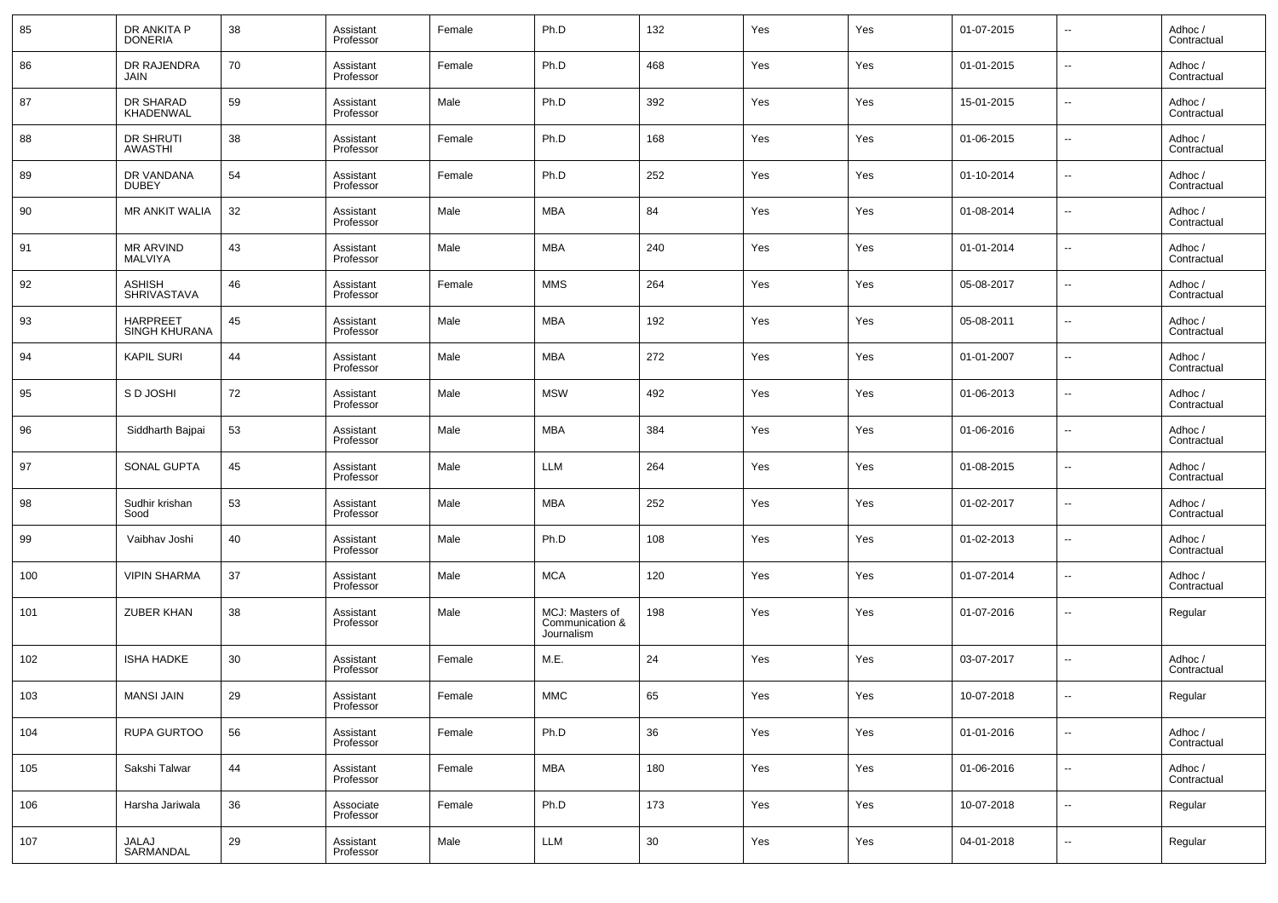| 85  | DR ANKITA P<br><b>DONERIA</b>           | 38 | Assistant<br>Professor | Female | Ph.D                                             | 132    | Yes | Yes | 01-07-2015 | $\overline{\phantom{a}}$ | Adhoc /<br>Contractual |
|-----|-----------------------------------------|----|------------------------|--------|--------------------------------------------------|--------|-----|-----|------------|--------------------------|------------------------|
| 86  | DR RAJENDRA<br>JAIN                     | 70 | Assistant<br>Professor | Female | Ph.D                                             | 468    | Yes | Yes | 01-01-2015 | $\overline{\phantom{a}}$ | Adhoc /<br>Contractual |
| 87  | DR SHARAD<br><b>KHADENWAL</b>           | 59 | Assistant<br>Professor | Male   | Ph.D                                             | 392    | Yes | Yes | 15-01-2015 | $\overline{\phantom{a}}$ | Adhoc /<br>Contractual |
| 88  | <b>DR SHRUTI</b><br><b>AWASTHI</b>      | 38 | Assistant<br>Professor | Female | Ph.D                                             | 168    | Yes | Yes | 01-06-2015 | $\overline{\phantom{a}}$ | Adhoc /<br>Contractual |
| 89  | DR VANDANA<br><b>DUBEY</b>              | 54 | Assistant<br>Professor | Female | Ph.D                                             | 252    | Yes | Yes | 01-10-2014 | $\overline{\phantom{a}}$ | Adhoc /<br>Contractual |
| 90  | <b>MR ANKIT WALIA</b>                   | 32 | Assistant<br>Professor | Male   | MBA                                              | 84     | Yes | Yes | 01-08-2014 | $\overline{\phantom{a}}$ | Adhoc /<br>Contractual |
| 91  | <b>MR ARVIND</b><br><b>MALVIYA</b>      | 43 | Assistant<br>Professor | Male   | MBA                                              | 240    | Yes | Yes | 01-01-2014 | $\overline{\phantom{a}}$ | Adhoc /<br>Contractual |
| 92  | <b>ASHISH</b><br><b>SHRIVASTAVA</b>     | 46 | Assistant<br>Professor | Female | <b>MMS</b>                                       | 264    | Yes | Yes | 05-08-2017 | $\overline{\phantom{a}}$ | Adhoc /<br>Contractual |
| 93  | <b>HARPREET</b><br><b>SINGH KHURANA</b> | 45 | Assistant<br>Professor | Male   | MBA                                              | 192    | Yes | Yes | 05-08-2011 | $\overline{\phantom{a}}$ | Adhoc /<br>Contractual |
| 94  | <b>KAPIL SURI</b>                       | 44 | Assistant<br>Professor | Male   | MBA                                              | 272    | Yes | Yes | 01-01-2007 | $\overline{\phantom{a}}$ | Adhoc /<br>Contractual |
| 95  | S D JOSHI                               | 72 | Assistant<br>Professor | Male   | <b>MSW</b>                                       | 492    | Yes | Yes | 01-06-2013 | $\overline{\phantom{a}}$ | Adhoc /<br>Contractual |
| 96  | Siddharth Bajpai                        | 53 | Assistant<br>Professor | Male   | MBA                                              | 384    | Yes | Yes | 01-06-2016 | $\overline{\phantom{a}}$ | Adhoc /<br>Contractual |
| 97  | SONAL GUPTA                             | 45 | Assistant<br>Professor | Male   | LLM                                              | 264    | Yes | Yes | 01-08-2015 | $\overline{\phantom{a}}$ | Adhoc /<br>Contractual |
| 98  | Sudhir krishan<br>Sood                  | 53 | Assistant<br>Professor | Male   | MBA                                              | 252    | Yes | Yes | 01-02-2017 | $\overline{\phantom{a}}$ | Adhoc /<br>Contractual |
| 99  | Vaibhav Joshi                           | 40 | Assistant<br>Professor | Male   | Ph.D                                             | 108    | Yes | Yes | 01-02-2013 | $\overline{\phantom{a}}$ | Adhoc /<br>Contractual |
| 100 | <b>VIPIN SHARMA</b>                     | 37 | Assistant<br>Professor | Male   | <b>MCA</b>                                       | 120    | Yes | Yes | 01-07-2014 | $\overline{\phantom{a}}$ | Adhoc /<br>Contractual |
| 101 | <b>ZUBER KHAN</b>                       | 38 | Assistant<br>Professor | Male   | MCJ: Masters of<br>Communication &<br>Journalism | 198    | Yes | Yes | 01-07-2016 | $\overline{\phantom{a}}$ | Regular                |
| 102 | <b>ISHA HADKE</b>                       | 30 | Assistant<br>Professor | Female | M.E.                                             | 24     | Yes | Yes | 03-07-2017 | --                       | Adhoc /<br>Contractual |
| 103 | <b>MANSI JAIN</b>                       | 29 | Assistant<br>Professor | Female | $\mathsf{MMC}$                                   | 65     | Yes | Yes | 10-07-2018 |                          | Regular                |
| 104 | RUPA GURTOO                             | 56 | Assistant<br>Professor | Female | Ph.D                                             | 36     | Yes | Yes | 01-01-2016 | $\overline{\phantom{a}}$ | Adhoc /<br>Contractual |
| 105 | Sakshi Talwar                           | 44 | Assistant<br>Professor | Female | MBA                                              | 180    | Yes | Yes | 01-06-2016 | $\overline{\phantom{a}}$ | Adhoc /<br>Contractual |
| 106 | Harsha Jariwala                         | 36 | Associate<br>Professor | Female | Ph.D                                             | 173    | Yes | Yes | 10-07-2018 | $\overline{\phantom{a}}$ | Regular                |
| 107 | JALAJ<br>SARMANDAL                      | 29 | Assistant<br>Professor | Male   | LLM                                              | $30\,$ | Yes | Yes | 04-01-2018 | $\overline{\phantom{a}}$ | Regular                |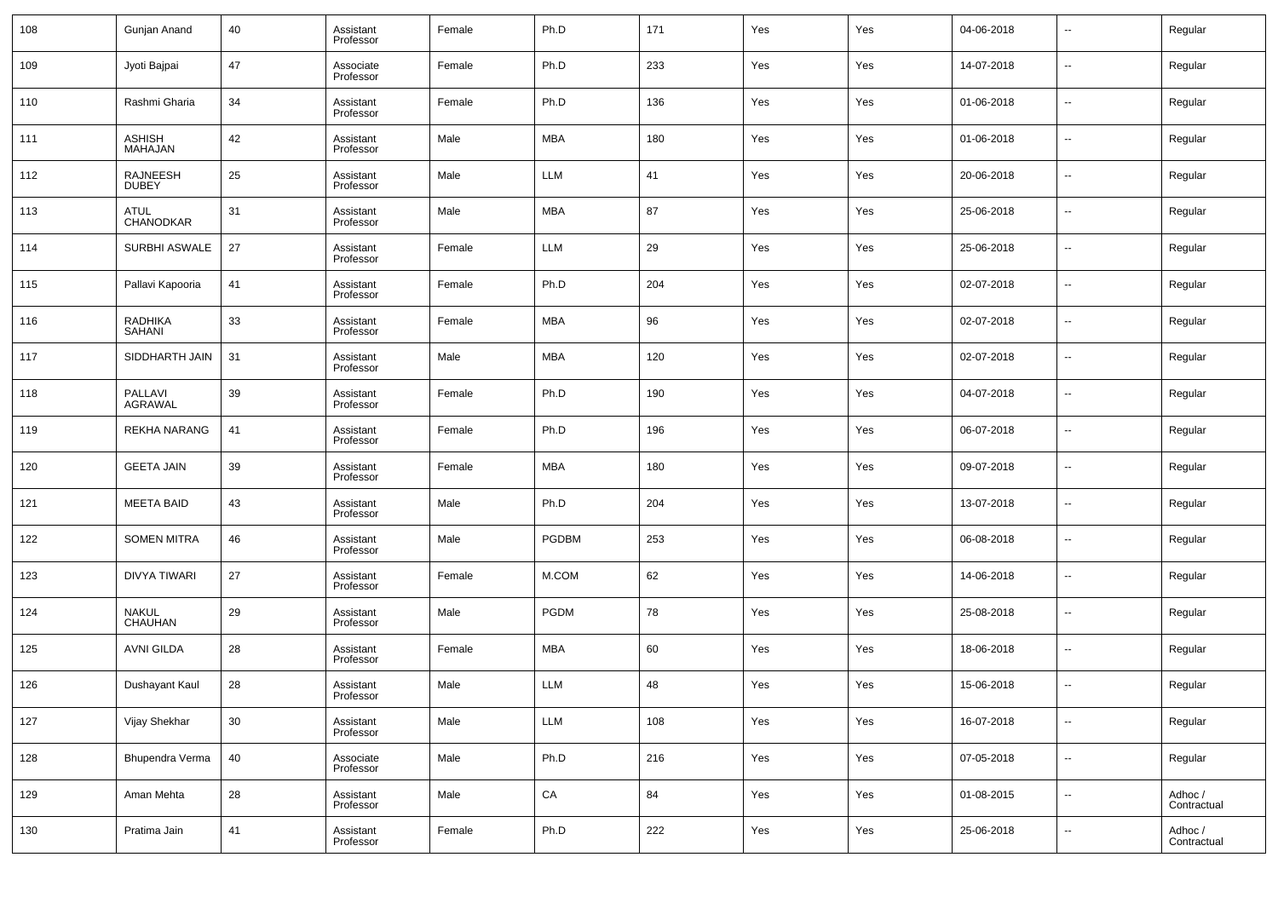| 108 | Gunjan Anand                    | 40 | Assistant<br>Professor | Female | Ph.D         | 171 | Yes | Yes | 04-06-2018 | $\overline{\phantom{a}}$ | Regular                |
|-----|---------------------------------|----|------------------------|--------|--------------|-----|-----|-----|------------|--------------------------|------------------------|
| 109 | Jyoti Bajpai                    | 47 | Associate<br>Professor | Female | Ph.D         | 233 | Yes | Yes | 14-07-2018 | $\overline{\phantom{a}}$ | Regular                |
| 110 | Rashmi Gharia                   | 34 | Assistant<br>Professor | Female | Ph.D         | 136 | Yes | Yes | 01-06-2018 | $\overline{\phantom{a}}$ | Regular                |
| 111 | <b>ASHISH</b><br><b>MAHAJAN</b> | 42 | Assistant<br>Professor | Male   | MBA          | 180 | Yes | Yes | 01-06-2018 | $\overline{\phantom{a}}$ | Regular                |
| 112 | <b>RAJNEESH</b><br><b>DUBEY</b> | 25 | Assistant<br>Professor | Male   | <b>LLM</b>   | 41  | Yes | Yes | 20-06-2018 | $\overline{\phantom{a}}$ | Regular                |
| 113 | ATUL<br><b>CHANODKAR</b>        | 31 | Assistant<br>Professor | Male   | MBA          | 87  | Yes | Yes | 25-06-2018 | $\overline{\phantom{a}}$ | Regular                |
| 114 | SURBHI ASWALE                   | 27 | Assistant<br>Professor | Female | <b>LLM</b>   | 29  | Yes | Yes | 25-06-2018 | $\overline{\phantom{a}}$ | Regular                |
| 115 | Pallavi Kapooria                | 41 | Assistant<br>Professor | Female | Ph.D         | 204 | Yes | Yes | 02-07-2018 | $\overline{\phantom{a}}$ | Regular                |
| 116 | <b>RADHIKA</b><br><b>SAHANI</b> | 33 | Assistant<br>Professor | Female | MBA          | 96  | Yes | Yes | 02-07-2018 | $\overline{\phantom{a}}$ | Regular                |
| 117 | SIDDHARTH JAIN                  | 31 | Assistant<br>Professor | Male   | MBA          | 120 | Yes | Yes | 02-07-2018 | $\overline{\phantom{a}}$ | Regular                |
| 118 | PALLAVI<br><b>AGRAWAL</b>       | 39 | Assistant<br>Professor | Female | Ph.D         | 190 | Yes | Yes | 04-07-2018 | $\overline{\phantom{a}}$ | Regular                |
| 119 | REKHA NARANG                    | 41 | Assistant<br>Professor | Female | Ph.D         | 196 | Yes | Yes | 06-07-2018 | $\overline{\phantom{a}}$ | Regular                |
| 120 | <b>GEETA JAIN</b>               | 39 | Assistant<br>Professor | Female | MBA          | 180 | Yes | Yes | 09-07-2018 | $\overline{\phantom{a}}$ | Regular                |
| 121 | <b>MEETA BAID</b>               | 43 | Assistant<br>Professor | Male   | Ph.D         | 204 | Yes | Yes | 13-07-2018 | $\overline{\phantom{a}}$ | Regular                |
| 122 | <b>SOMEN MITRA</b>              | 46 | Assistant<br>Professor | Male   | <b>PGDBM</b> | 253 | Yes | Yes | 06-08-2018 | $\overline{\phantom{a}}$ | Regular                |
| 123 | DIVYA TIWARI                    | 27 | Assistant<br>Professor | Female | M.COM        | 62  | Yes | Yes | 14-06-2018 | $\overline{\phantom{a}}$ | Regular                |
| 124 | <b>NAKUL</b><br>CHAUHAN         | 29 | Assistant<br>Professor | Male   | <b>PGDM</b>  | 78  | Yes | Yes | 25-08-2018 | $\overline{\phantom{a}}$ | Regular                |
| 125 | <b>AVNI GILDA</b>               | 28 | Assistant<br>Professor | Female | MBA          | 60  | Yes | Yes | 18-06-2018 | $\overline{\phantom{a}}$ | Regular                |
| 126 | Dushayant Kaul                  | 28 | Assistant<br>Professor | Male   | <b>LLM</b>   | 48  | Yes | Yes | 15-06-2018 | $\overline{\phantom{a}}$ | Regular                |
| 127 | Vijay Shekhar                   | 30 | Assistant<br>Professor | Male   | <b>LLM</b>   | 108 | Yes | Yes | 16-07-2018 | ۰.                       | Regular                |
| 128 | Bhupendra Verma                 | 40 | Associate<br>Professor | Male   | Ph.D         | 216 | Yes | Yes | 07-05-2018 | $\overline{\phantom{a}}$ | Regular                |
| 129 | Aman Mehta                      | 28 | Assistant<br>Professor | Male   | ${\sf CA}$   | 84  | Yes | Yes | 01-08-2015 | $\overline{\phantom{a}}$ | Adhoc /<br>Contractual |
| 130 | Pratima Jain                    | 41 | Assistant<br>Professor | Female | Ph.D         | 222 | Yes | Yes | 25-06-2018 | $\overline{\phantom{a}}$ | Adhoc /<br>Contractual |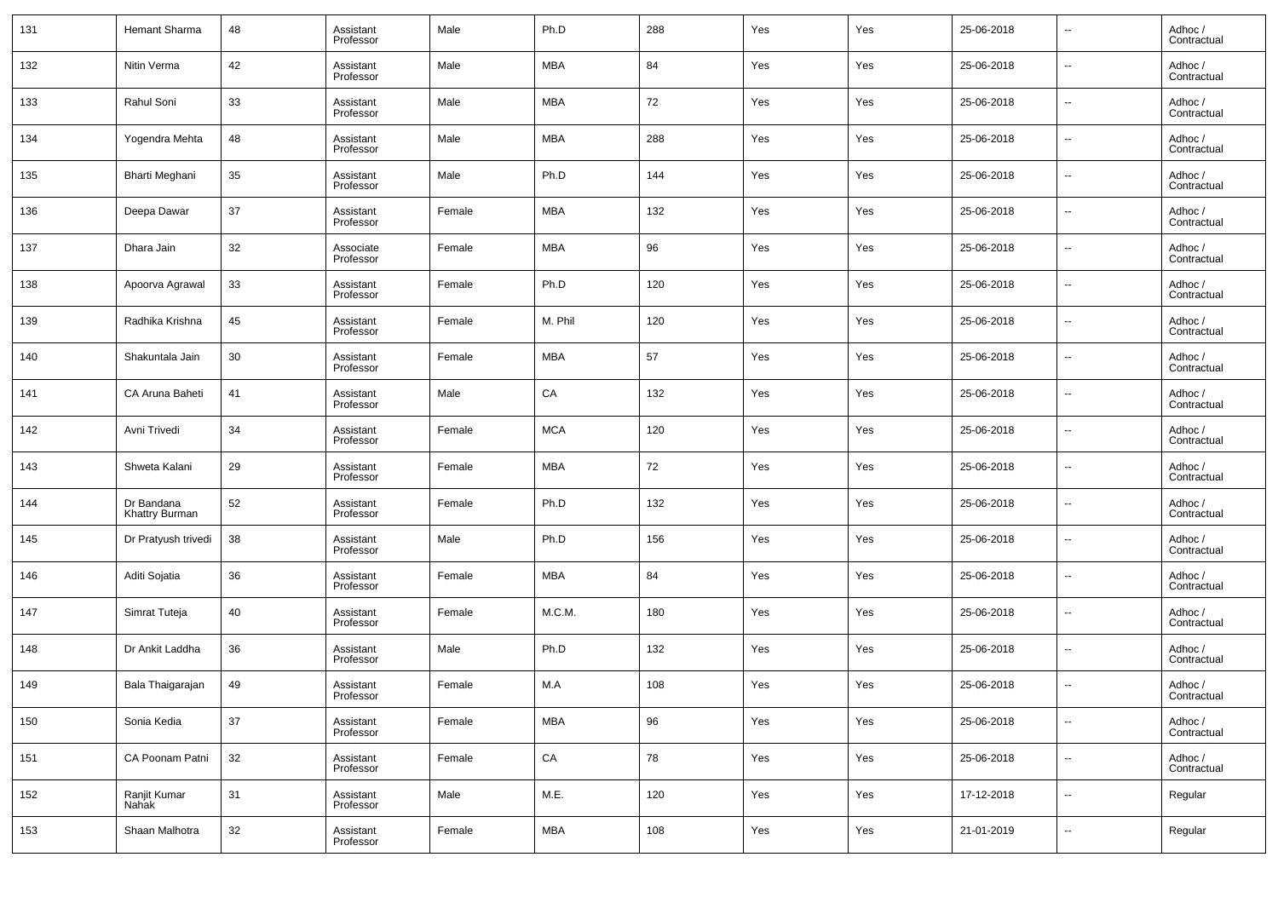| 131 | Hemant Sharma                | 48 | Assistant<br>Professor | Male   | Ph.D       | 288 | Yes | Yes | 25-06-2018 | ۰.                       | Adhoc /<br>Contractual |
|-----|------------------------------|----|------------------------|--------|------------|-----|-----|-----|------------|--------------------------|------------------------|
| 132 | Nitin Verma                  | 42 | Assistant<br>Professor | Male   | <b>MBA</b> | 84  | Yes | Yes | 25-06-2018 | $\sim$                   | Adhoc /<br>Contractual |
| 133 | Rahul Soni                   | 33 | Assistant<br>Professor | Male   | <b>MBA</b> | 72  | Yes | Yes | 25-06-2018 | $\sim$                   | Adhoc /<br>Contractual |
| 134 | Yogendra Mehta               | 48 | Assistant<br>Professor | Male   | <b>MBA</b> | 288 | Yes | Yes | 25-06-2018 | $\sim$                   | Adhoc /<br>Contractual |
| 135 | Bharti Meghani               | 35 | Assistant<br>Professor | Male   | Ph.D       | 144 | Yes | Yes | 25-06-2018 | $\sim$                   | Adhoc /<br>Contractual |
| 136 | Deepa Dawar                  | 37 | Assistant<br>Professor | Female | <b>MBA</b> | 132 | Yes | Yes | 25-06-2018 | $\sim$                   | Adhoc /<br>Contractual |
| 137 | Dhara Jain                   | 32 | Associate<br>Professor | Female | <b>MBA</b> | 96  | Yes | Yes | 25-06-2018 | $\sim$                   | Adhoc /<br>Contractual |
| 138 | Apoorva Agrawal              | 33 | Assistant<br>Professor | Female | Ph.D       | 120 | Yes | Yes | 25-06-2018 | $\sim$                   | Adhoc /<br>Contractual |
| 139 | Radhika Krishna              | 45 | Assistant<br>Professor | Female | M. Phil    | 120 | Yes | Yes | 25-06-2018 | $\sim$                   | Adhoc /<br>Contractual |
| 140 | Shakuntala Jain              | 30 | Assistant<br>Professor | Female | <b>MBA</b> | 57  | Yes | Yes | 25-06-2018 | $\sim$                   | Adhoc /<br>Contractual |
| 141 | CA Aruna Baheti              | 41 | Assistant<br>Professor | Male   | ${\sf CA}$ | 132 | Yes | Yes | 25-06-2018 | $\sim$                   | Adhoc /<br>Contractual |
| 142 | Avni Trivedi                 | 34 | Assistant<br>Professor | Female | <b>MCA</b> | 120 | Yes | Yes | 25-06-2018 | ۰.                       | Adhoc /<br>Contractual |
| 143 | Shweta Kalani                | 29 | Assistant<br>Professor | Female | <b>MBA</b> | 72  | Yes | Yes | 25-06-2018 | $\sim$                   | Adhoc /<br>Contractual |
| 144 | Dr Bandana<br>Khattry Burman | 52 | Assistant<br>Professor | Female | Ph.D       | 132 | Yes | Yes | 25-06-2018 | $\overline{\phantom{a}}$ | Adhoc /<br>Contractual |
| 145 | Dr Pratyush trivedi          | 38 | Assistant<br>Professor | Male   | Ph.D       | 156 | Yes | Yes | 25-06-2018 | $\sim$                   | Adhoc /<br>Contractual |
| 146 | Aditi Sojatia                | 36 | Assistant<br>Professor | Female | <b>MBA</b> | 84  | Yes | Yes | 25-06-2018 | $\overline{\phantom{a}}$ | Adhoc /<br>Contractual |
| 147 | Simrat Tuteja                | 40 | Assistant<br>Professor | Female | M.C.M.     | 180 | Yes | Yes | 25-06-2018 | $\ddotsc$                | Adhoc /<br>Contractual |
| 148 | Dr Ankit Laddha              | 36 | Assistant<br>Professor | Male   | Ph.D       | 132 | Yes | Yes | 25-06-2018 | $\sim$                   | Adhoc /<br>Contractual |
| 149 | Bala Thaigarajan             | 49 | Assistant<br>Professor | Female | M.A        | 108 | Yes | Yes | 25-06-2018 | $\overline{\phantom{a}}$ | Adhoc /<br>Contractual |
| 150 | Sonia Kedia                  | 37 | Assistant<br>Professor | Female | <b>MBA</b> | 96  | Yes | Yes | 25-06-2018 | $\sim$                   | Adhoc /<br>Contractual |
| 151 | CA Poonam Patni              | 32 | Assistant<br>Professor | Female | ${\sf CA}$ | 78  | Yes | Yes | 25-06-2018 | $\sim$                   | Adhoc /<br>Contractual |
| 152 | Ranjit Kumar<br>Nahak        | 31 | Assistant<br>Professor | Male   | M.E.       | 120 | Yes | Yes | 17-12-2018 | $\sim$                   | Regular                |
| 153 | Shaan Malhotra               | 32 | Assistant<br>Professor | Female | MBA        | 108 | Yes | Yes | 21-01-2019 | $\overline{\phantom{a}}$ | Regular                |